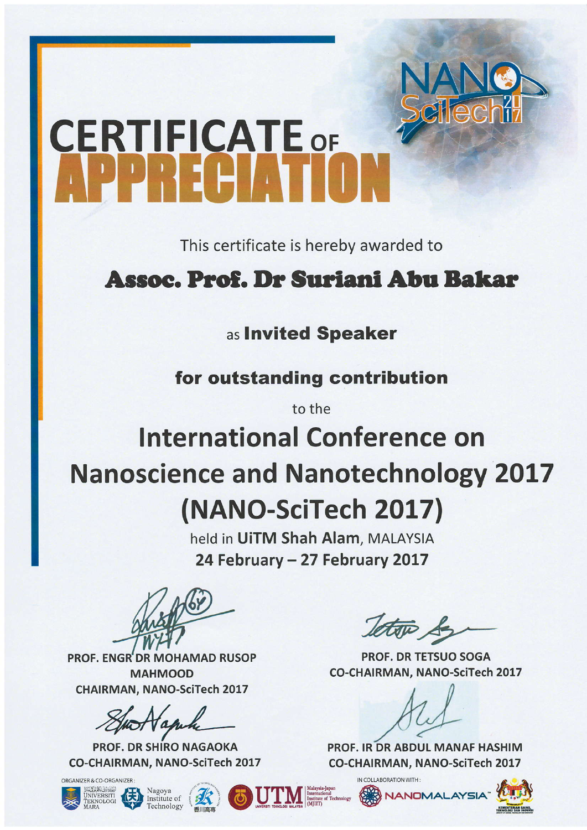# **CERTIFICATE OF**

This certificate is hereby awarded to

## Assoc. Prof. Dr Suriani Abu Bakar

## as Invited Speaker

for outstanding contribution

to the

# **International Conference on Nanoscience and Nanotechnology 2017** (NANO-SciTech 2017)

held in UITM Shah Alam, MALAYSIA 24 February - 27 February 2017

**PROF. ENGR'DR MOHAMAD RUSOP MAHMOOD CHAIRMAN, NANO-SciTech 2017** 

**PROF. DR SHIRO NAGAOKA CO-CHAIRMAN, NANO-SciTech 2017** 

ORGANIZER & CO-ORGANIZER









**PROF. DR TETSUO SOGA CO-CHAIRMAN, NANO-SciTech 2017** 

PROF. IR DR ABDUL MANAF HASHIM **CO-CHAIRMAN, NANO-SciTech 2017** 

**NANOMALAYS** 

IN COLLABORATION WITH